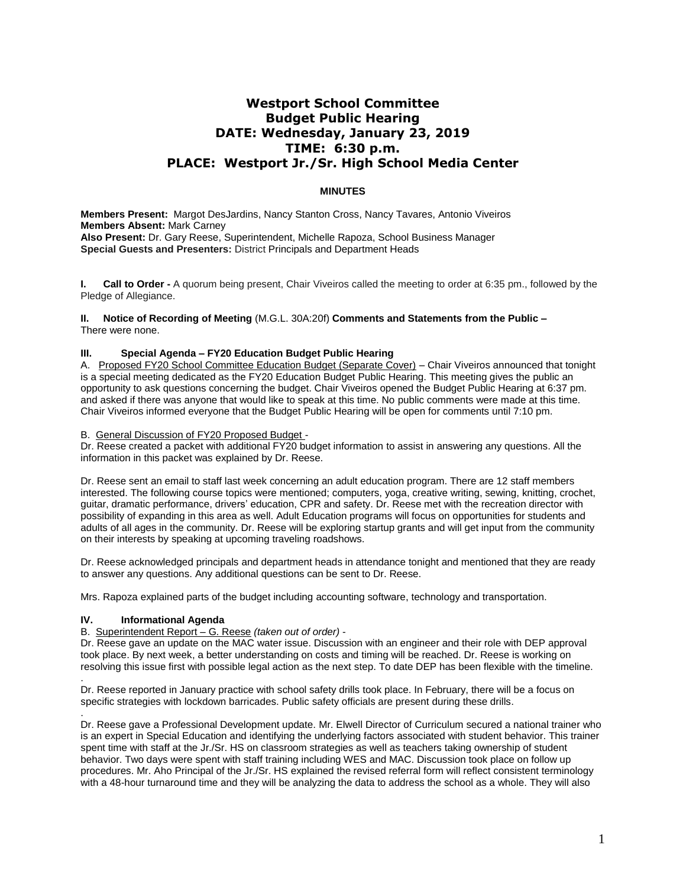# **Westport School Committee Budget Public Hearing DATE: Wednesday, January 23, 2019 TIME: 6:30 p.m. PLACE: Westport Jr./Sr. High School Media Center**

## **MINUTES**

**Members Present:** Margot DesJardins, Nancy Stanton Cross, Nancy Tavares, Antonio Viveiros **Members Absent:** Mark Carney **Also Present:** Dr. Gary Reese, Superintendent, Michelle Rapoza, School Business Manager **Special Guests and Presenters:** District Principals and Department Heads

**I. Call to Order -** A quorum being present, Chair Viveiros called the meeting to order at 6:35 pm., followed by the Pledge of Allegiance.

**II. Notice of Recording of Meeting** (M.G.L. 30A:20f) **Comments and Statements from the Public –** There were none.

#### **III. Special Agenda – FY20 Education Budget Public Hearing**

A. Proposed FY20 School Committee Education Budget (Separate Cover) – Chair Viveiros announced that tonight is a special meeting dedicated as the FY20 Education Budget Public Hearing. This meeting gives the public an opportunity to ask questions concerning the budget. Chair Viveiros opened the Budget Public Hearing at 6:37 pm. and asked if there was anyone that would like to speak at this time. No public comments were made at this time. Chair Viveiros informed everyone that the Budget Public Hearing will be open for comments until 7:10 pm.

B. General Discussion of FY20 Proposed Budget -

Dr. Reese created a packet with additional FY20 budget information to assist in answering any questions. All the information in this packet was explained by Dr. Reese.

Dr. Reese sent an email to staff last week concerning an adult education program. There are 12 staff members interested. The following course topics were mentioned; computers, yoga, creative writing, sewing, knitting, crochet, guitar, dramatic performance, drivers' education, CPR and safety. Dr. Reese met with the recreation director with possibility of expanding in this area as well. Adult Education programs will focus on opportunities for students and adults of all ages in the community. Dr. Reese will be exploring startup grants and will get input from the community on their interests by speaking at upcoming traveling roadshows.

Dr. Reese acknowledged principals and department heads in attendance tonight and mentioned that they are ready to answer any questions. Any additional questions can be sent to Dr. Reese.

Mrs. Rapoza explained parts of the budget including accounting software, technology and transportation.

#### **IV. Informational Agenda**

.

#### B. Superintendent Report – G. Reese *(taken out of order)* -

Dr. Reese gave an update on the MAC water issue. Discussion with an engineer and their role with DEP approval took place. By next week, a better understanding on costs and timing will be reached. Dr. Reese is working on resolving this issue first with possible legal action as the next step. To date DEP has been flexible with the timeline.

. Dr. Reese reported in January practice with school safety drills took place. In February, there will be a focus on specific strategies with lockdown barricades. Public safety officials are present during these drills.

Dr. Reese gave a Professional Development update. Mr. Elwell Director of Curriculum secured a national trainer who is an expert in Special Education and identifying the underlying factors associated with student behavior. This trainer spent time with staff at the Jr./Sr. HS on classroom strategies as well as teachers taking ownership of student behavior. Two days were spent with staff training including WES and MAC. Discussion took place on follow up procedures. Mr. Aho Principal of the Jr./Sr. HS explained the revised referral form will reflect consistent terminology with a 48-hour turnaround time and they will be analyzing the data to address the school as a whole. They will also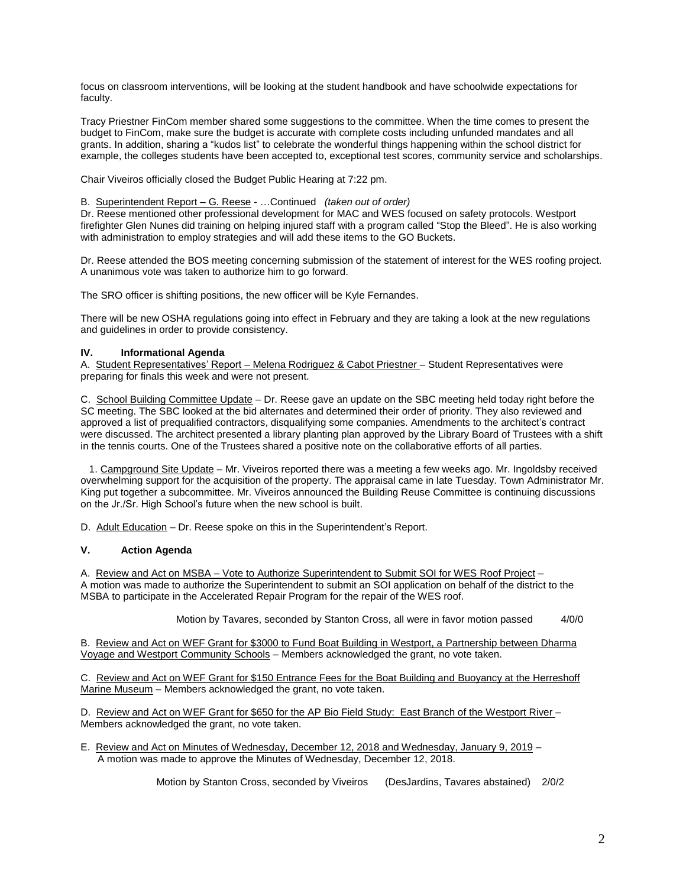focus on classroom interventions, will be looking at the student handbook and have schoolwide expectations for faculty.

Tracy Priestner FinCom member shared some suggestions to the committee. When the time comes to present the budget to FinCom, make sure the budget is accurate with complete costs including unfunded mandates and all grants. In addition, sharing a "kudos list" to celebrate the wonderful things happening within the school district for example, the colleges students have been accepted to, exceptional test scores, community service and scholarships.

Chair Viveiros officially closed the Budget Public Hearing at 7:22 pm.

B. Superintendent Report – G. Reese - …Continued *(taken out of order)*

Dr. Reese mentioned other professional development for MAC and WES focused on safety protocols. Westport firefighter Glen Nunes did training on helping injured staff with a program called "Stop the Bleed". He is also working with administration to employ strategies and will add these items to the GO Buckets.

Dr. Reese attended the BOS meeting concerning submission of the statement of interest for the WES roofing project. A unanimous vote was taken to authorize him to go forward.

The SRO officer is shifting positions, the new officer will be Kyle Fernandes.

There will be new OSHA regulations going into effect in February and they are taking a look at the new regulations and guidelines in order to provide consistency.

#### **IV. Informational Agenda**

A. Student Representatives' Report – Melena Rodriguez & Cabot Priestner – Student Representatives were preparing for finals this week and were not present.

C. School Building Committee Update – Dr. Reese gave an update on the SBC meeting held today right before the SC meeting. The SBC looked at the bid alternates and determined their order of priority. They also reviewed and approved a list of prequalified contractors, disqualifying some companies. Amendments to the architect's contract were discussed. The architect presented a library planting plan approved by the Library Board of Trustees with a shift in the tennis courts. One of the Trustees shared a positive note on the collaborative efforts of all parties.

 1. Campground Site Update – Mr. Viveiros reported there was a meeting a few weeks ago. Mr. Ingoldsby received overwhelming support for the acquisition of the property. The appraisal came in late Tuesday. Town Administrator Mr. King put together a subcommittee. Mr. Viveiros announced the Building Reuse Committee is continuing discussions on the Jr./Sr. High School's future when the new school is built.

D. Adult Education – Dr. Reese spoke on this in the Superintendent's Report.

### **V. Action Agenda**

A. Review and Act on MSBA – Vote to Authorize Superintendent to Submit SOI for WES Roof Project – A motion was made to authorize the Superintendent to submit an SOI application on behalf of the district to the MSBA to participate in the Accelerated Repair Program for the repair of the WES roof.

Motion by Tavares, seconded by Stanton Cross, all were in favor motion passed 4/0/0

B. Review and Act on WEF Grant for \$3000 to Fund Boat Building in Westport, a Partnership between Dharma Voyage and Westport Community Schools – Members acknowledged the grant, no vote taken.

C. Review and Act on WEF Grant for \$150 Entrance Fees for the Boat Building and Buoyancy at the Herreshoff Marine Museum – Members acknowledged the grant, no vote taken.

D. Review and Act on WEF Grant for \$650 for the AP Bio Field Study: East Branch of the Westport River – Members acknowledged the grant, no vote taken.

E. Review and Act on Minutes of Wednesday, December 12, 2018 and Wednesday, January 9, 2019 – A motion was made to approve the Minutes of Wednesday, December 12, 2018.

Motion by Stanton Cross, seconded by Viveiros (DesJardins, Tavares abstained) 2/0/2